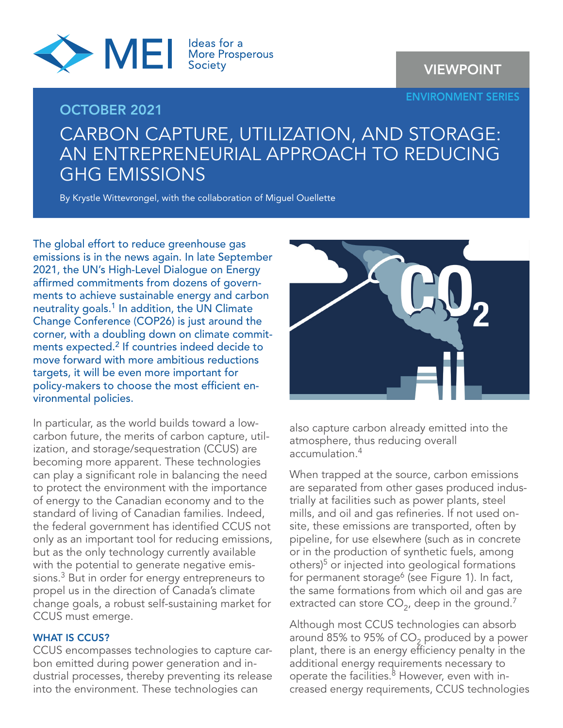

OCTOBER 2021

VIEWPOINT

ENVIRONMENT SERIES

# CARBON CAPTURE, UTILIZATION, AND STORAGE: AN ENTREPRENEURIAL APPROACH TO REDUCING GHG EMISSIONS

By Krystle Wittevrongel, with the collaboration of Miguel Ouellette

The global effort to reduce greenhouse gas emissions is in the news again. In late September 2021, the UN's High-Level Dialogue on Energy affirmed commitments from dozens of governments to achieve sustainable energy and carbon neutrality goals.<sup>1</sup> In addition, the UN Climate Change Conference (COP26) is just around the corner, with a doubling down on climate commitments expected.<sup>2</sup> If countries indeed decide to move forward with more ambitious reductions targets, it will be even more important for policy-makers to choose the most efficient environmental policies.

In particular, as the world builds toward a lowcarbon future, the merits of carbon capture, utilization, and storage/sequestration (CCUS) are becoming more apparent. These technologies can play a significant role in balancing the need to protect the environment with the importance of energy to the Canadian economy and to the standard of living of Canadian families. Indeed, the federal government has identified CCUS not only as an important tool for reducing emissions, but as the only technology currently available with the potential to generate negative emissions.<sup>3</sup> But in order for energy entrepreneurs to propel us in the direction of Canada's climate change goals, a robust self-sustaining market for CCUS must emerge.

## WHAT IS CCUS?

CCUS encompasses technologies to capture carbon emitted during power generation and industrial processes, thereby preventing its release into the environment. These technologies can



also capture carbon already emitted into the atmosphere, thus reducing overall accumulation.4

When trapped at the source, carbon emissions are separated from other gases produced industrially at facilities such as power plants, steel mills, and oil and gas refineries. If not used onsite, these emissions are transported, often by pipeline, for use elsewhere (such as in concrete or in the production of synthetic fuels, among others)5 or injected into geological formations for permanent storage<sup>6</sup> (see Figure 1). In fact, the same formations from which oil and gas are extracted can store  $CO<sub>2</sub>$ , deep in the ground.<sup>7</sup>

Although most CCUS technologies can absorb around 85% to 95% of CO<sub>2</sub> produced by a power plant, there is an energy efficiency penalty in the additional energy requirements necessary to operate the facilities.<sup>8</sup> However, even with increased energy requirements, CCUS technologies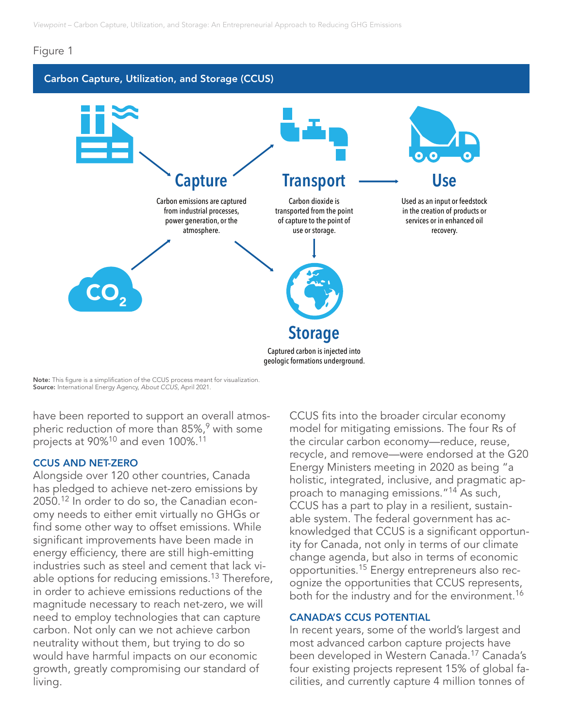## Figure 1

# Carbon Capture, Utilization, and Storage (CCUS)



Note: This figure is a simplification of the CCUS process meant for visualization. Source: International Energy Agency, *About CCUS*, April 2021.

have been reported to support an overall atmospheric reduction of more than 85%,<sup>9</sup> with some projects at 90%<sup>10</sup> and even 100%.<sup>11</sup>

## CCUS AND NET-ZERO

Alongside over 120 other countries, Canada has pledged to achieve net-zero emissions by 2050.12 In order to do so, the Canadian economy needs to either emit virtually no GHGs or find some other way to offset emissions. While significant improvements have been made in energy efficiency, there are still high-emitting industries such as steel and cement that lack viable options for reducing emissions.<sup>13</sup> Therefore, in order to achieve emissions reductions of the magnitude necessary to reach net-zero, we will need to employ technologies that can capture carbon. Not only can we not achieve carbon neutrality without them, but trying to do so would have harmful impacts on our economic growth, greatly compromising our standard of living.

CCUS fits into the broader circular economy model for mitigating emissions. The four Rs of the circular carbon economy—reduce, reuse, recycle, and remove—were endorsed at the G20 Energy Ministers meeting in 2020 as being "a holistic, integrated, inclusive, and pragmatic approach to managing emissions."14 As such, CCUS has a part to play in a resilient, sustainable system. The federal government has acknowledged that CCUS is a significant opportunity for Canada, not only in terms of our climate change agenda, but also in terms of economic opportunities.15 Energy entrepreneurs also recognize the opportunities that CCUS represents, both for the industry and for the environment.<sup>16</sup>

## CANADA'S CCUS POTENTIAL

In recent years, some of the world's largest and most advanced carbon capture projects have been developed in Western Canada.<sup>17</sup> Canada's four existing projects represent 15% of global facilities, and currently capture 4 million tonnes of